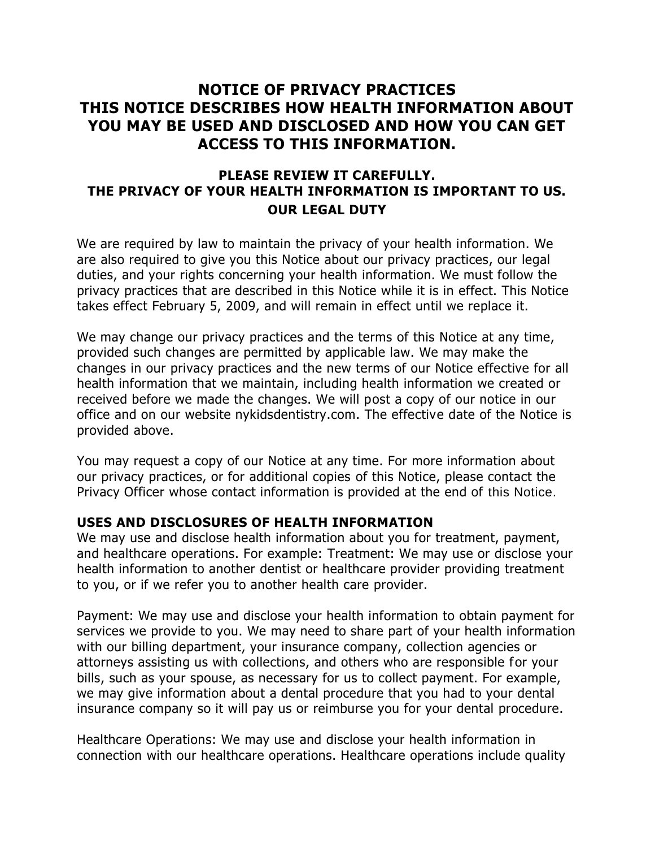# **NOTICE OF PRIVACY PRACTICES THIS NOTICE DESCRIBES HOW HEALTH INFORMATION ABOUT YOU MAY BE USED AND DISCLOSED AND HOW YOU CAN GET ACCESS TO THIS INFORMATION.**

## **PLEASE REVIEW IT CAREFULLY. THE PRIVACY OF YOUR HEALTH INFORMATION IS IMPORTANT TO US. OUR LEGAL DUTY**

We are required by law to maintain the privacy of your health information. We are also required to give you this Notice about our privacy practices, our legal duties, and your rights concerning your health information. We must follow the privacy practices that are described in this Notice while it is in effect. This Notice takes effect February 5, 2009, and will remain in effect until we replace it.

We may change our privacy practices and the terms of this Notice at any time, provided such changes are permitted by applicable law. We may make the changes in our privacy practices and the new terms of our Notice effective for all health information that we maintain, including health information we created or received before we made the changes. We will post a copy of our notice in our office and on our website nykidsdentistry.com. The effective date of the Notice is provided above.

You may request a copy of our Notice at any time. For more information about our privacy practices, or for additional copies of this Notice, please contact the Privacy Officer whose contact information is provided at the end of this Notice.

### **USES AND DISCLOSURES OF HEALTH INFORMATION**

We may use and disclose health information about you for treatment, payment, and healthcare operations. For example: Treatment: We may use or disclose your health information to another dentist or healthcare provider providing treatment to you, or if we refer you to another health care provider.

Payment: We may use and disclose your health information to obtain payment for services we provide to you. We may need to share part of your health information with our billing department, your insurance company, collection agencies or attorneys assisting us with collections, and others who are responsible for your bills, such as your spouse, as necessary for us to collect payment. For example, we may give information about a dental procedure that you had to your dental insurance company so it will pay us or reimburse you for your dental procedure.

Healthcare Operations: We may use and disclose your health information in connection with our healthcare operations. Healthcare operations include quality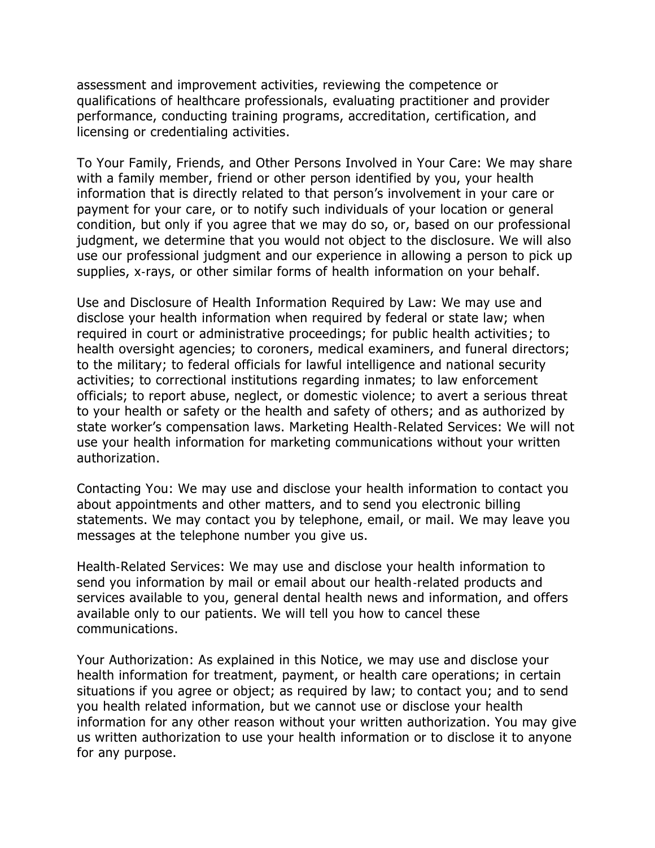assessment and improvement activities, reviewing the competence or qualifications of healthcare professionals, evaluating practitioner and provider performance, conducting training programs, accreditation, certification, and licensing or credentialing activities.

To Your Family, Friends, and Other Persons Involved in Your Care: We may share with a family member, friend or other person identified by you, your health information that is directly related to that person's involvement in your care or payment for your care, or to notify such individuals of your location or general condition, but only if you agree that we may do so, or, based on our professional judgment, we determine that you would not object to the disclosure. We will also use our professional judgment and our experience in allowing a person to pick up supplies, x-rays, or other similar forms of health information on your behalf.

Use and Disclosure of Health Information Required by Law: We may use and disclose your health information when required by federal or state law; when required in court or administrative proceedings; for public health activities ; to health oversight agencies; to coroners, medical examiners, and funeral directors; to the military; to federal officials for lawful intelligence and national security activities; to correctional institutions regarding inmates; to law enforcement officials; to report abuse, neglect, or domestic violence; to avert a serious threat to your health or safety or the health and safety of others; and as authorized by state worker's compensation laws. Marketing Health‐Related Services: We will not use your health information for marketing communications without your written authorization.

Contacting You: We may use and disclose your health information to contact you about appointments and other matters, and to send you electronic billing statements. We may contact you by telephone, email, or mail. We may leave you messages at the telephone number you give us.

Health‐Related Services: We may use and disclose your health information to send you information by mail or email about our health‐related products and services available to you, general dental health news and information, and offers available only to our patients. We will tell you how to cancel these communications.

Your Authorization: As explained in this Notice, we may use and disclose your health information for treatment, payment, or health care operations; in certain situations if you agree or object; as required by law; to contact you; and to send you health related information, but we cannot use or disclose your health information for any other reason without your written authorization. You may give us written authorization to use your health information or to disclose it to anyone for any purpose.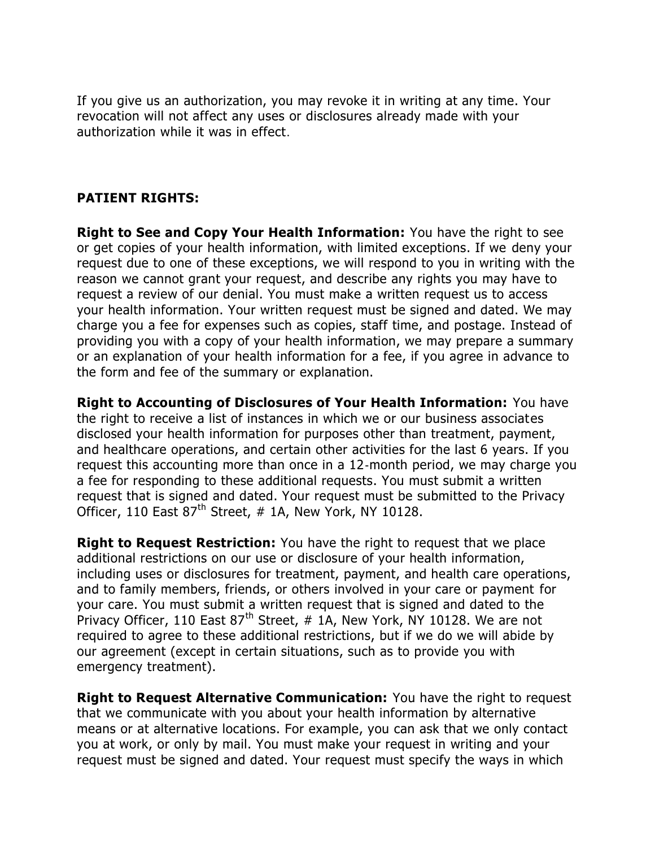If you give us an authorization, you may revoke it in writing at any time. Your revocation will not affect any uses or disclosures already made with your authorization while it was in effect.

### **PATIENT RIGHTS:**

**Right to See and Copy Your Health Information:** You have the right to see or get copies of your health information, with limited exceptions. If we deny your request due to one of these exceptions, we will respond to you in writing with the reason we cannot grant your request, and describe any rights you may have to request a review of our denial. You must make a written request us to access your health information. Your written request must be signed and dated. We may charge you a fee for expenses such as copies, staff time, and postage. Instead of providing you with a copy of your health information, we may prepare a summary or an explanation of your health information for a fee, if you agree in advance to the form and fee of the summary or explanation.

**Right to Accounting of Disclosures of Your Health Information:** You have the right to receive a list of instances in which we or our business associates disclosed your health information for purposes other than treatment, payment, and healthcare operations, and certain other activities for the last 6 years. If you request this accounting more than once in a 12‐month period, we may charge you a fee for responding to these additional requests. You must submit a written request that is signed and dated. Your request must be submitted to the Privacy Officer, 110 East  $87<sup>th</sup>$  Street, # 1A, New York, NY 10128.

**Right to Request Restriction:** You have the right to request that we place additional restrictions on our use or disclosure of your health information, including uses or disclosures for treatment, payment, and health care operations, and to family members, friends, or others involved in your care or payment for your care. You must submit a written request that is signed and dated to the Privacy Officer, 110 East  $87<sup>th</sup>$  Street, # 1A, New York, NY 10128. We are not required to agree to these additional restrictions, but if we do we will abide by our agreement (except in certain situations, such as to provide you with emergency treatment).

**Right to Request Alternative Communication:** You have the right to request that we communicate with you about your health information by alternative means or at alternative locations. For example, you can ask that we only contact you at work, or only by mail. You must make your request in writing and your request must be signed and dated. Your request must specify the ways in which